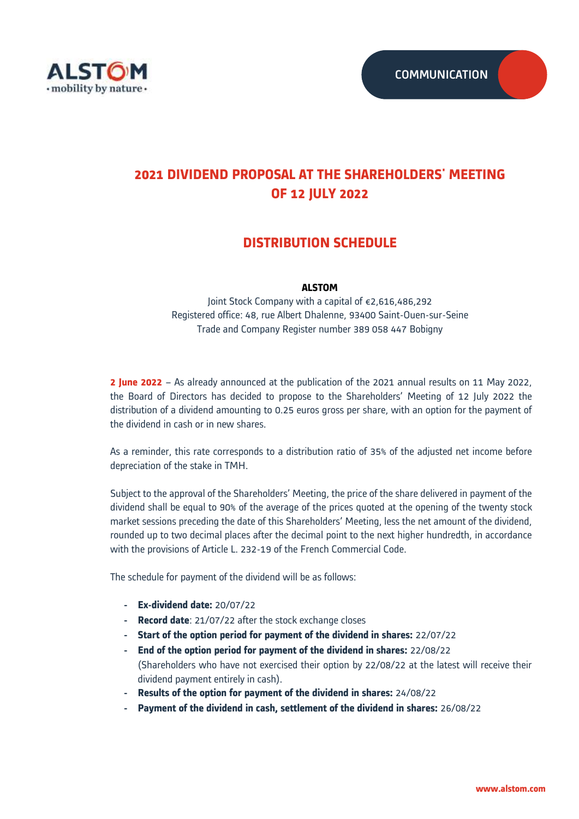

# **2021 DIVIDEND PROPOSAL AT THE SHAREHOLDERS' MEETING OF 12 JULY 2022**

## **DISTRIBUTION SCHEDULE**

### **ALSTOM**

Joint Stock Company with a capital of €2,616,486,292 Registered office: 48, rue Albert Dhalenne, 93400 Saint-Ouen-sur-Seine Trade and Company Register number 389 058 447 Bobigny

**2 June 2022** – As already announced at the publication of the 2021 annual results on 11 May 2022, the Board of Directors has decided to propose to the Shareholders' Meeting of 12 July 2022 the distribution of a dividend amounting to 0.25 euros gross per share, with an option for the payment of the dividend in cash or in new shares.

As a reminder, this rate corresponds to a distribution ratio of 35% of the adjusted net income before depreciation of the stake in TMH.

Subject to the approval of the Shareholders' Meeting, the price of the share delivered in payment of the dividend shall be equal to 90% of the average of the prices quoted at the opening of the twenty stock market sessions preceding the date of this Shareholders' Meeting, less the net amount of the dividend, rounded up to two decimal places after the decimal point to the next higher hundredth, in accordance with the provisions of Article L. 232-19 of the French Commercial Code.

The schedule for payment of the dividend will be as follows:

- **- Ex-dividend date:** 20/07/22
- **- Record date**: 21/07/22 after the stock exchange closes
- **- Start of the option period for payment of the dividend in shares:** 22/07/22
- **- End of the option period for payment of the dividend in shares:** 22/08/22 (Shareholders who have not exercised their option by 22/08/22 at the latest will receive their dividend payment entirely in cash).
- **- Results of the option for payment of the dividend in shares:** 24/08/22
- **- Payment of the dividend in cash, settlement of the dividend in shares:** 26/08/22